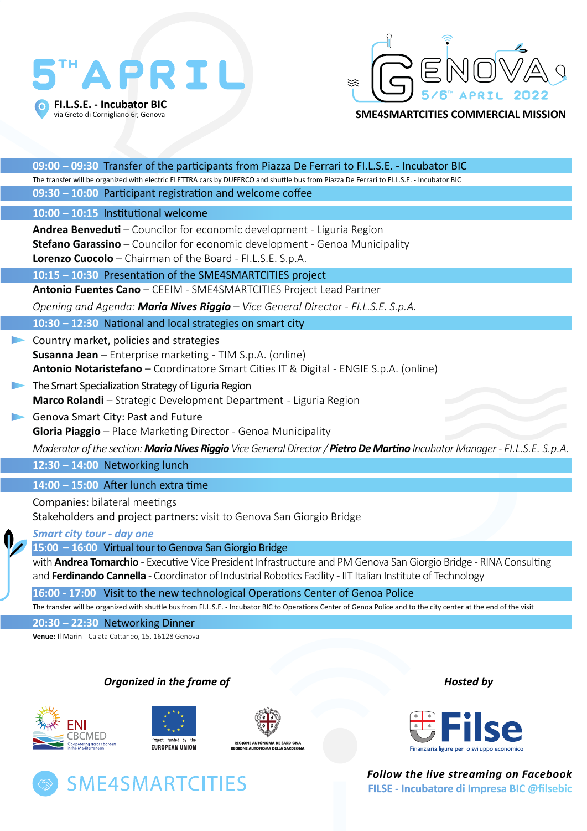## APRIL **FI.L.S.E. - Incubator BIC**  via Greto di Cornigliano 6r, Genova



**SME4SMARTCITIES COMMERCIAL MISSION**

| 09:00 - 09:30 Transfer of the participants from Piazza De Ferrari to FI.L.S.E. - Incubator BIC                                           |
|------------------------------------------------------------------------------------------------------------------------------------------|
| The transfer will be organized with electric ELETTRA cars by DUFERCO and shuttle bus from Piazza De Ferrari to FI.L.S.E. - Incubator BIC |
| 09:30 - 10:00 Participant registration and welcome coffee                                                                                |
| 10:00 - 10:15 Institutional welcome                                                                                                      |
| <b>Andrea Benveduti</b> – Councilor for economic development - Liguria Region                                                            |
| Stefano Garassino - Councilor for economic development - Genoa Municipality                                                              |
| Lorenzo Cuocolo - Chairman of the Board - FI.L.S.E. S.p.A.                                                                               |
| 10:15 - 10:30 Presentation of the SME4SMARTCITIES project                                                                                |
| Antonio Fuentes Cano - CEEIM - SME4SMARTCITIES Project Lead Partner                                                                      |
| Opening and Agenda: Maria Nives Riggio - Vice General Director - FI.L.S.E. S.p.A.                                                        |
| 10:30 - 12:30 National and local strategies on smart city                                                                                |
| Country market, policies and strategies                                                                                                  |
| <b>Susanna Jean</b> – Enterprise marketing - TIM S.p.A. (online)                                                                         |
| Antonio Notaristefano - Coordinatore Smart Cities IT & Digital - ENGIE S.p.A. (online)                                                   |
| The Smart Specialization Strategy of Liguria Region                                                                                      |
| Marco Rolandi - Strategic Development Department - Liguria Region                                                                        |
| Genova Smart City: Past and Future                                                                                                       |
| Gloria Piaggio - Place Marketing Director - Genoa Municipality                                                                           |
| Moderator of the section: Maria Nives Riggio Vice General Director / Pietro De Martino Incubator Manager - FI.L.S.E. S.p.A.              |
| $12:30 - 14:00$ Networking lunch                                                                                                         |
| $14:00 - 15:00$ After lunch extra time                                                                                                   |
| Companies: bilateral meetings                                                                                                            |
| Stakeholders and project partners: visit to Genova San Giorgio Bridge                                                                    |
| <b>Smart city tour - day one</b>                                                                                                         |
| 15:00 - 16:00 Virtual tour to Genova San Giorgio Bridge                                                                                  |
| with <b>Andrea Tomarchio</b> - Executive Vice President Infrastructure and PM Genova San Giorgio Bridge - RINA Consulting                |
| and Ferdinando Cannella - Coordinator of Industrial Robotics Facility - IIT Italian Institute of Technology                              |
| 16:00 - 17:00 Visit to the new technological Operations Center of Genoa Police                                                           |

The transfer will be organized with shuttle bus from FI.L.S.E. - Incubator BIC to Operations Center of Genoa Police and to the city center at the end of the visit

**20:30 – 22:30** Networking Dinner

**Venue:** Il Marin - Calata Cattaneo, 15, 16128 Genova

## *Organized in the frame of Hosted by*











*Follow the live streaming on Facebook*  **FILSE - Incubatore di Impresa BIC @filsebic**